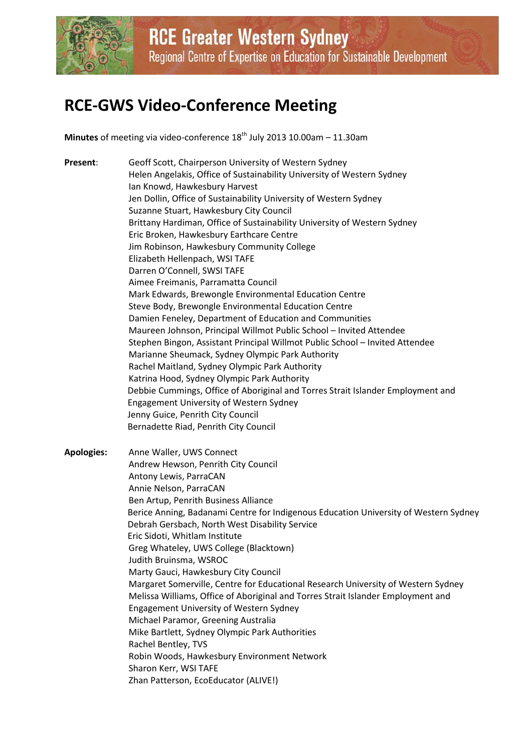

# **RCE-GWS Video-Conference Meeting**

Minutes of meeting via video-conference 18<sup>th</sup> July 2013 10.00am - 11.30am

**Present**: Geoff Scott, Chairperson University of Western Sydney Helen Angelakis, Office of Sustainability University of Western Sydney Ian Knowd, Hawkesbury Harvest Jen Dollin, Office of Sustainability University of Western Sydney Suzanne Stuart, Hawkesbury City Council Brittany Hardiman, Office of Sustainability University of Western Sydney Eric Broken, Hawkesbury Earthcare Centre Jim Robinson, Hawkesbury Community College Elizabeth Hellenpach, WSI TAFE Darren O'Connell, SWSI TAFE Aimee Freimanis, Parramatta Council Mark Edwards, Brewongle Environmental Education Centre Steve Body, Brewongle Environmental Education Centre Damien Feneley, Department of Education and Communities Maureen Johnson, Principal Willmot Public School – Invited Attendee Stephen Bingon, Assistant Principal Willmot Public School – Invited Attendee Marianne Sheumack, Sydney Olympic Park Authority Rachel Maitland, Sydney Olympic Park Authority Katrina Hood, Sydney Olympic Park Authority Debbie Cummings, Office of Aboriginal and Torres Strait Islander Employment and Engagement University of Western Sydney Jenny Guice, Penrith City Council Bernadette Riad, Penrith City Council **Apologies:** Anne Waller, UWS Connect Andrew Hewson, Penrith City Council Antony Lewis, ParraCAN Annie Nelson, ParraCAN Ben Artup, Penrith Business Alliance Berice Anning, Badanami Centre for Indigenous Education University of Western Sydney Debrah Gersbach, North West Disability Service Eric Sidoti, Whitlam Institute Greg Whateley, UWS College (Blacktown) Judith Bruinsma, WSROC Marty Gauci, Hawkesbury City Council Margaret Somerville, Centre for Educational Research University of Western Sydney Melissa Williams, Office of Aboriginal and Torres Strait Islander Employment and Engagement University of Western Sydney

- Michael Paramor, Greening Australia
- Mike Bartlett, Sydney Olympic Park Authorities
- Rachel Bentley, TVS
- Robin Woods, Hawkesbury Environment Network
- Sharon Kerr, WSI TAFE
- Zhan Patterson, EcoEducator (ALIVE!)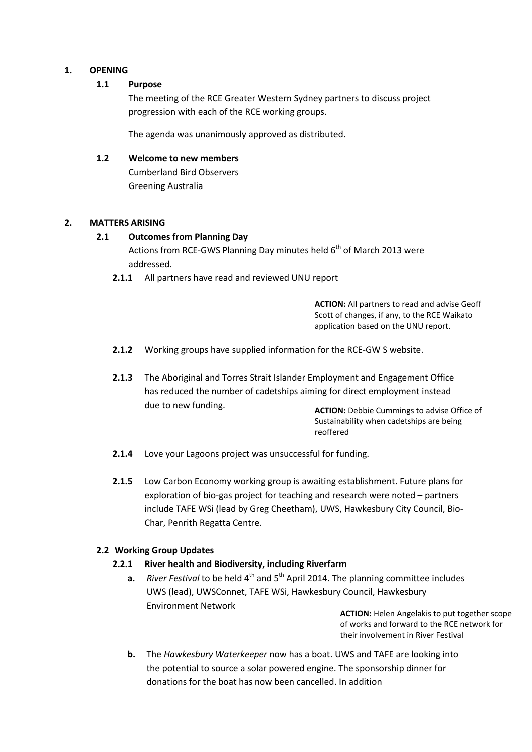## **1. OPENING**

## **1.1 Purpose**

The meeting of the RCE Greater Western Sydney partners to discuss project progression with each of the RCE working groups.

The agenda was unanimously approved as distributed.

## **1.2 Welcome to new members**

Cumberland Bird Observers Greening Australia

## **2. MATTERS ARISING**

# **2.1 Outcomes from Planning Day**

Actions from RCE-GWS Planning Day minutes held 6<sup>th</sup> of March 2013 were addressed.

**2.1.1** All partners have read and reviewed UNU report

**ACTION:** All partners to read and advise Geoff Scott of changes, if any, to the RCE Waikato application based on the UNU report.

- **2.1.2** Working groups have supplied information for the RCE-GW S website.
- **2.1.3** The Aboriginal and Torres Strait Islander Employment and Engagement Office has reduced the number of cadetships aiming for direct employment instead due to new funding.

**ACTION:** Debbie Cummings to advise Office of Sustainability when cadetships are being reoffered

- **2.1.4** Love your Lagoons project was unsuccessful for funding.
- **2.1.5** Low Carbon Economy working group is awaiting establishment. Future plans for exploration of bio-gas project for teaching and research were noted – partners include TAFE WSi (lead by Greg Cheetham), UWS, Hawkesbury City Council, Bio-Char, Penrith Regatta Centre.

# **2.2 Working Group Updates**

# **2.2.1 River health and Biodiversity, including Riverfarm**

**a.** *River Festival* to be held 4<sup>th</sup> and 5<sup>th</sup> April 2014. The planning committee includes UWS (lead), UWSConnet, TAFE WSi, Hawkesbury Council, Hawkesbury Environment Network

**ACTION:** Helen Angelakis to put together scope of works and forward to the RCE network for their involvement in River Festival

**b.** The *Hawkesbury Waterkeeper* now has a boat. UWS and TAFE are looking into the potential to source a solar powered engine. The sponsorship dinner for donations for the boat has now been cancelled. In addition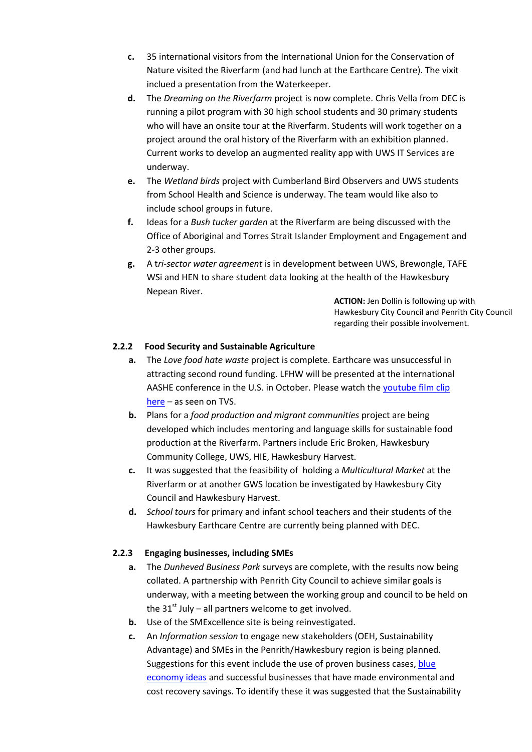- **c.** 35 international visitors from the International Union for the Conservation of Nature visited the Riverfarm (and had lunch at the Earthcare Centre). The vixit inclued a presentation from the Waterkeeper.
- **d.** The *Dreaming on the Riverfarm* project is now complete. Chris Vella from DEC is running a pilot program with 30 high school students and 30 primary students who will have an onsite tour at the Riverfarm. Students will work together on a project around the oral history of the Riverfarm with an exhibition planned. Current works to develop an augmented reality app with UWS IT Services are underway.
- **e.** The *Wetland birds* project with Cumberland Bird Observers and UWS students from School Health and Science is underway. The team would like also to include school groups in future.
- **f.** Ideas for a *Bush tucker garden* at the Riverfarm are being discussed with the Office of Aboriginal and Torres Strait Islander Employment and Engagement and 2-3 other groups.
- **g.** A t*ri-sector water agreement* is in development between UWS, Brewongle, TAFE WSi and HEN to share student data looking at the health of the Hawkesbury Nepean River.

**ACTION:** Jen Dollin is following up with Hawkesbury City Council and Penrith City Council regarding their possible involvement.

# **2.2.2 Food Security and Sustainable Agriculture**

- **a.** The *Love food hate waste* project is complete. Earthcare was unsuccessful in attracting second round funding. LFHW will be presented at the international AASHE conference in the U.S. in October. Please watch th[e youtube film clip](http://www.youtube.com/watch?v=ib4GETAdFYE)  [here](http://www.youtube.com/watch?v=ib4GETAdFYE) – as seen on TVS.
- **b.** Plans for a *food production and migrant communities* project are being developed which includes mentoring and language skills for sustainable food production at the Riverfarm. Partners include Eric Broken, Hawkesbury Community College, UWS, HIE, Hawkesbury Harvest.
- **c.** It was suggested that the feasibility of holding a *Multicultural Market* at the Riverfarm or at another GWS location be investigated by Hawkesbury City Council and Hawkesbury Harvest.
- **d.** *School tours* for primary and infant school teachers and their students of the Hawkesbury Earthcare Centre are currently being planned with DEC.

# **2.2.3 Engaging businesses, including SMEs**

- **a.** The *Dunheved Business Park* surveys are complete, with the results now being collated. A partnership with Penrith City Council to achieve similar goals is underway, with a meeting between the working group and council to be held on the  $31<sup>st</sup>$  July – all partners welcome to get involved.
- **b.** Use of the SMExcellence site is being reinvestigated.
- **c.** An *Information session* to engage new stakeholders (OEH, Sustainability Advantage) and SMEs in the Penrith/Hawkesbury region is being planned. Suggestions for this event include the use of proven business cases, [blue](http://www.blueeconomy.eu/)  [economy ideas](http://www.blueeconomy.eu/) and successful businesses that have made environmental and cost recovery savings. To identify these it was suggested that the Sustainability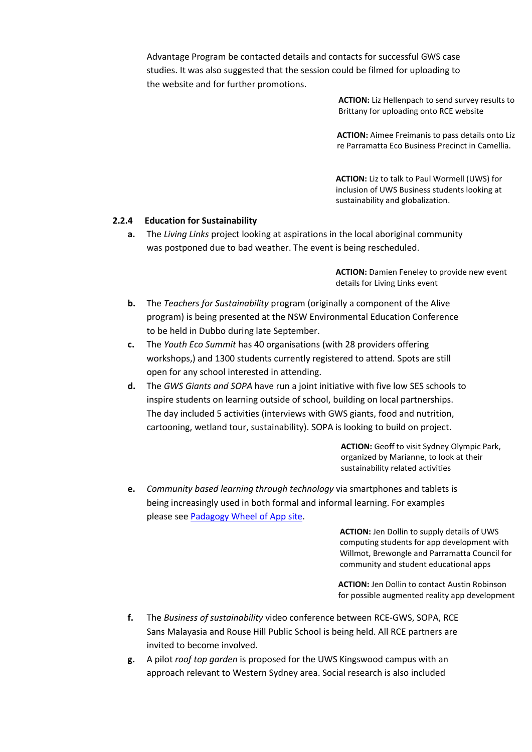Advantage Program be contacted details and contacts for successful GWS case studies. It was also suggested that the session could be filmed for uploading to the website and for further promotions.

> **ACTION:** Liz Hellenpach to send survey results to Brittany for uploading onto RCE website

> **ACTION:** Aimee Freimanis to pass details onto Liz re Parramatta Eco Business Precinct in Camellia.

**ACTION:** Liz to talk to Paul Wormell (UWS) for inclusion of UWS Business students looking at sustainability and globalization.

## **2.2.4 Education for Sustainability**

**a.** The *Living Links* project looking at aspirations in the local aboriginal community was postponed due to bad weather. The event is being rescheduled.

> **ACTION:** Damien Feneley to provide new event details for Living Links event

- **b.** The *Teachers for Sustainability* program (originally a component of the Alive program) is being presented at the NSW Environmental Education Conference to be held in Dubbo during late September.
- **c.** The *Youth Eco Summit* has 40 organisations (with 28 providers offering workshops,) and 1300 students currently registered to attend. Spots are still open for any school interested in attending.
- **d.** The *GWS Giants and SOPA* have run a joint initiative with five low SES schools to inspire students on learning outside of school, building on local partnerships. The day included 5 activities (interviews with GWS giants, food and nutrition, cartooning, wetland tour, sustainability). SOPA is looking to build on project.

**ACTION:** Geoff to visit Sydney Olympic Park, organized by Marianne, to look at their sustainability related activities

**e.** *Community based learning through technology* via smartphones and tablets is being increasingly used in both formal and informal learning. For examples please see [Padagogy Wheel](http://intertecheducation.edublogs.org/2013/05/25/pedagogy-wheel-for-ipads-in-education/) of App site.

> **ACTION:** Jen Dollin to supply details of UWS computing students for app development with Willmot, Brewongle and Parramatta Council for community and student educational apps

**ACTION:** Jen Dollin to contact Austin Robinson for possible augmented reality app development

- **f.** The *Business of sustainability* video conference between RCE-GWS, SOPA, RCE Sans Malayasia and Rouse Hill Public School is being held. All RCE partners are invited to become involved.
- **g.** A pilot *roof top garden* is proposed for the UWS Kingswood campus with an approach relevant to Western Sydney area. Social research is also included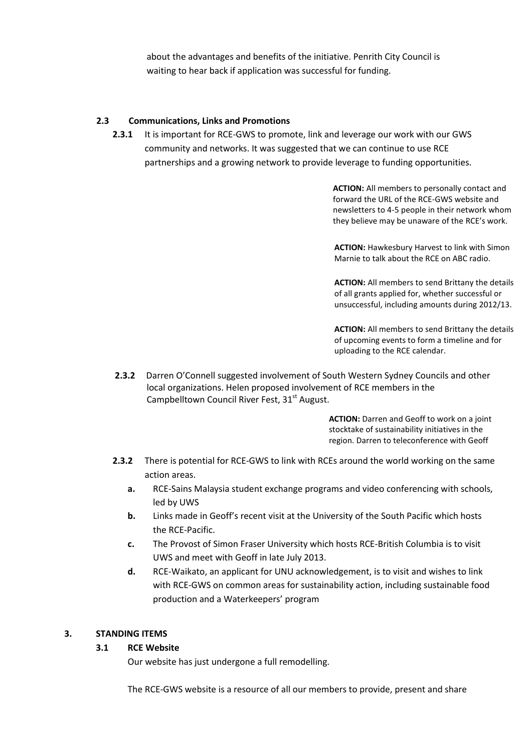about the advantages and benefits of the initiative. Penrith City Council is waiting to hear back if application was successful for funding.

# **2.3 Communications, Links and Promotions**

**2.3.1** It is important for RCE-GWS to promote, link and leverage our work with our GWS community and networks. It was suggested that we can continue to use RCE partnerships and a growing network to provide leverage to funding opportunities.

> **ACTION:** All members to personally contact and forward the URL of the RCE-GWS website and newsletters to 4-5 people in their network whom they believe may be unaware of the RCE's work.

> **ACTION:** Hawkesbury Harvest to link with Simon Marnie to talk about the RCE on ABC radio.

**ACTION:** All members to send Brittany the details of all grants applied for, whether successful or unsuccessful, including amounts during 2012/13.

**ACTION:** All members to send Brittany the details of upcoming events to form a timeline and for uploading to the RCE calendar.

**2.3.2** Darren O'Connell suggested involvement of South Western Sydney Councils and other local organizations. Helen proposed involvement of RCE members in the Campbelltown Council River Fest, 31<sup>st</sup> August.

> **ACTION:** Darren and Geoff to work on a joint stocktake of sustainability initiatives in the region. Darren to teleconference with Geoff

- **2.3.2** There is potential for RCE-GWS to link with RCEs around the world working on the same action areas.
	- **a.** RCE-Sains Malaysia student exchange programs and video conferencing with schools, led by UWS
	- **b.** Links made in Geoff's recent visit at the University of the South Pacific which hosts the RCE-Pacific.
	- **c.** The Provost of Simon Fraser University which hosts RCE-British Columbia is to visit UWS and meet with Geoff in late July 2013.
	- **d.** RCE-Waikato, an applicant for UNU acknowledgement, is to visit and wishes to link with RCE-GWS on common areas for sustainability action, including sustainable food production and a Waterkeepers' program

# **3. STANDING ITEMS**

# **3.1 RCE Website**

Our website has just undergone a full remodelling.

The RCE-GWS website is a resource of all our members to provide, present and share